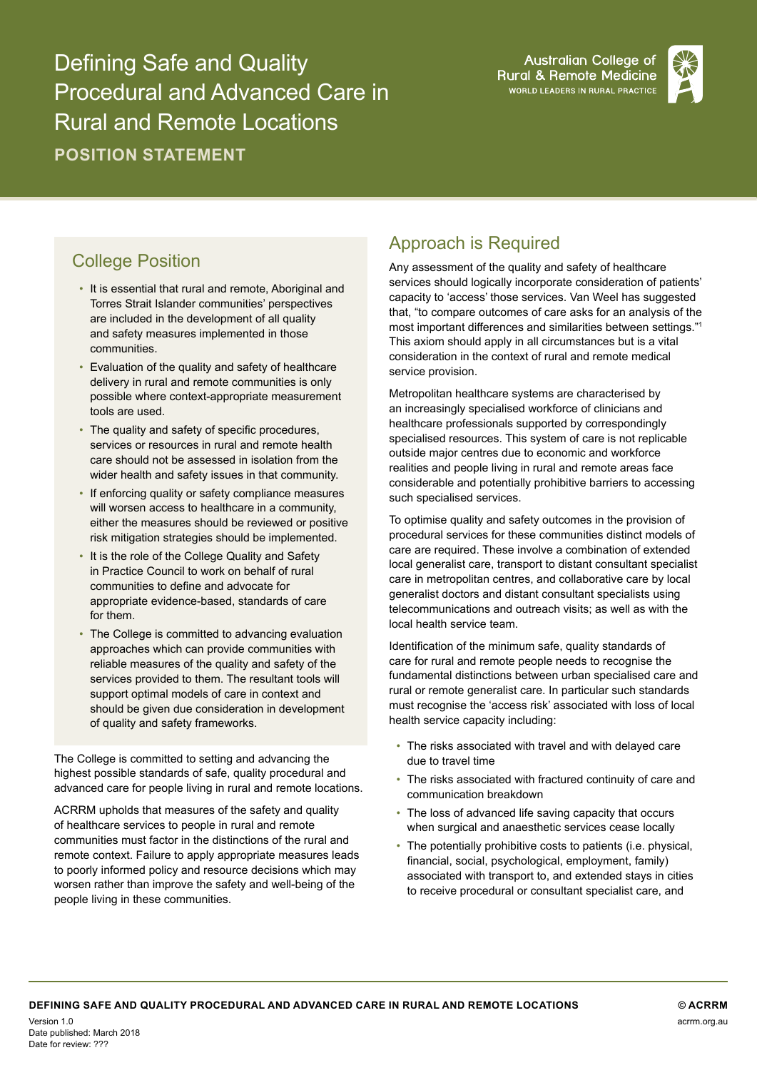Defining Safe and Quality Procedural and Advanced Care in Rural and Remote Locations **POSITION STATEMENT**

**Australian College of Rural & Remote Medicine** WORLD LEADERS IN RURAL PRACTICE



## College Position

- It is essential that rural and remote, Aboriginal and Torres Strait Islander communities' perspectives are included in the development of all quality and safety measures implemented in those communities.
- Evaluation of the quality and safety of healthcare delivery in rural and remote communities is only possible where context-appropriate measurement tools are used.
- The quality and safety of specific procedures, services or resources in rural and remote health care should not be assessed in isolation from the wider health and safety issues in that community.
- If enforcing quality or safety compliance measures will worsen access to healthcare in a community, either the measures should be reviewed or positive risk mitigation strategies should be implemented.
- It is the role of the College Quality and Safety in Practice Council to work on behalf of rural communities to define and advocate for appropriate evidence-based, standards of care for them.
- The College is committed to advancing evaluation approaches which can provide communities with reliable measures of the quality and safety of the services provided to them. The resultant tools will support optimal models of care in context and should be given due consideration in development of quality and safety frameworks.

The College is committed to setting and advancing the highest possible standards of safe, quality procedural and advanced care for people living in rural and remote locations.

ACRRM upholds that measures of the safety and quality of healthcare services to people in rural and remote communities must factor in the distinctions of the rural and remote context. Failure to apply appropriate measures leads to poorly informed policy and resource decisions which may worsen rather than improve the safety and well-being of the people living in these communities.

## Approach is Required

Any assessment of the quality and safety of healthcare services should logically incorporate consideration of patients' capacity to 'access' those services. Van Weel has suggested that, "to compare outcomes of care asks for an analysis of the most important differences and similarities between settings."<sup>1</sup> This axiom should apply in all circumstances but is a vital consideration in the context of rural and remote medical service provision.

Metropolitan healthcare systems are characterised by an increasingly specialised workforce of clinicians and healthcare professionals supported by correspondingly specialised resources. This system of care is not replicable outside major centres due to economic and workforce realities and people living in rural and remote areas face considerable and potentially prohibitive barriers to accessing such specialised services.

To optimise quality and safety outcomes in the provision of procedural services for these communities distinct models of care are required. These involve a combination of extended local generalist care, transport to distant consultant specialist care in metropolitan centres, and collaborative care by local generalist doctors and distant consultant specialists using telecommunications and outreach visits; as well as with the local health service team.

Identification of the minimum safe, quality standards of care for rural and remote people needs to recognise the fundamental distinctions between urban specialised care and rural or remote generalist care. In particular such standards must recognise the 'access risk' associated with loss of local health service capacity including:

- The risks associated with travel and with delayed care due to travel time
- The risks associated with fractured continuity of care and communication breakdown
- The loss of advanced life saving capacity that occurs when surgical and anaesthetic services cease locally
- The potentially prohibitive costs to patients (i.e. physical, financial, social, psychological, employment, family) associated with transport to, and extended stays in cities to receive procedural or consultant specialist care, and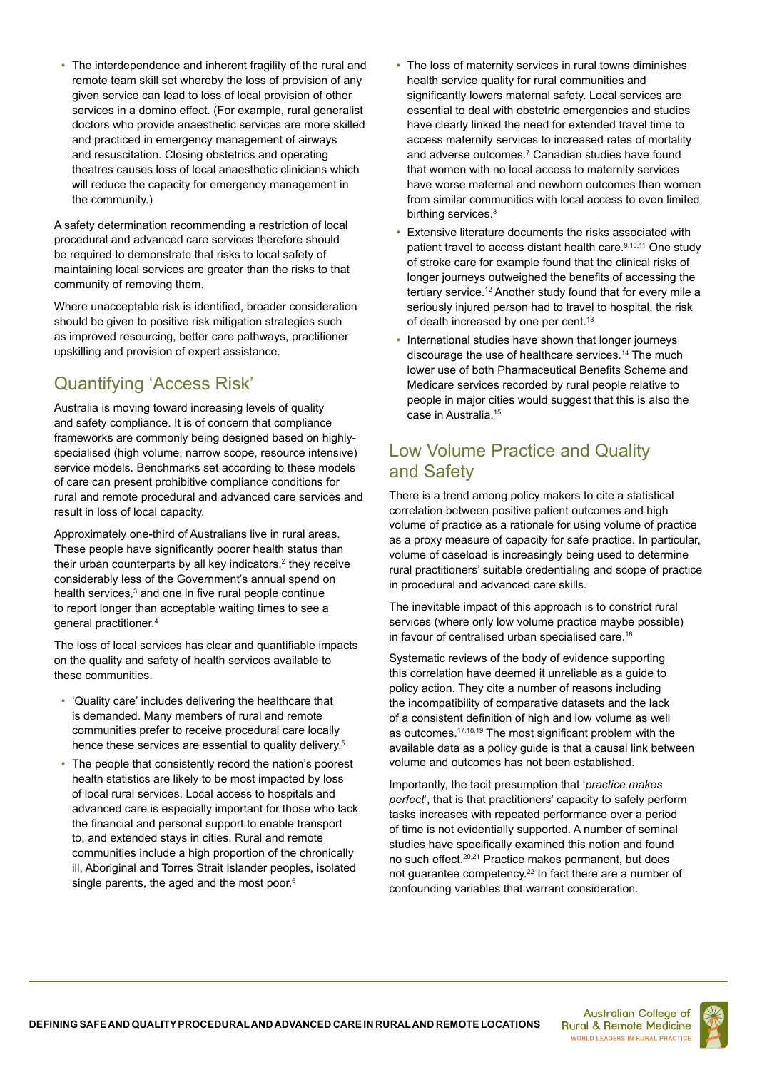• The interdependence and inherent fragility of the rural and remote team skill set whereby the loss of provision of any given service can lead to loss of local provision of other services in a domino effect. (For example, rural generalist doctors who provide anaesthetic services are more skilled and practiced in emergency management of airways and resuscitation. Closing obstetrics and operating theatres causes loss of local anaesthetic clinicians which will reduce the capacity for emergency management in the community.)

A safety determination recommending a restriction of local procedural and advanced care services therefore should be required to demonstrate that risks to local safety of maintaining local services are greater than the risks to that community of removing them.

Where unacceptable risk is identified, broader consideration should be given to positive risk mitigation strategies such as improved resourcing, better care pathways, practitioner upskilling and provision of expert assistance.

# Quantifying 'Access Risk'

Australia is moving toward increasing levels of quality and safety compliance. It is of concern that compliance frameworks are commonly being designed based on highlyspecialised (high volume, narrow scope, resource intensive) service models. Benchmarks set according to these models of care can present prohibitive compliance conditions for rural and remote procedural and advanced care services and result in loss of local capacity.

Approximately one-third of Australians live in rural areas. These people have significantly poorer health status than their urban counterparts by all key indicators, $\mathrm{^{2}}$  they receive considerably less of the Government's annual spend on health services,<sup>3</sup> and one in five rural people continue to report longer than acceptable waiting times to see a general practitioner.4

The loss of local services has clear and quantifiable impacts on the quality and safety of health services available to these communities.

- 'Quality care' includes delivering the healthcare that is demanded. Many members of rural and remote communities prefer to receive procedural care locally hence these services are essential to quality delivery.<sup>5</sup>
- The people that consistently record the nation's poorest health statistics are likely to be most impacted by loss of local rural services. Local access to hospitals and advanced care is especially important for those who lack the financial and personal support to enable transport to, and extended stays in cities. Rural and remote communities include a high proportion of the chronically ill, Aboriginal and Torres Strait Islander peoples, isolated single parents, the aged and the most poor.<sup>6</sup>
- The loss of maternity services in rural towns diminishes health service quality for rural communities and significantly lowers maternal safety. Local services are essential to deal with obstetric emergencies and studies have clearly linked the need for extended travel time to access maternity services to increased rates of mortality and adverse outcomes.7 Canadian studies have found that women with no local access to maternity services have worse maternal and newborn outcomes than women from similar communities with local access to even limited birthing services.<sup>8</sup>
- Extensive literature documents the risks associated with patient travel to access distant health care.<sup>9,10,11</sup> One study of stroke care for example found that the clinical risks of longer journeys outweighed the benefits of accessing the tertiary service.<sup>12</sup> Another study found that for every mile a seriously injured person had to travel to hospital, the risk of death increased by one per cent.<sup>13</sup>
- International studies have shown that longer journeys discourage the use of healthcare services.14 The much lower use of both Pharmaceutical Benefits Scheme and Medicare services recorded by rural people relative to people in major cities would suggest that this is also the case in Australia.15

## Low Volume Practice and Quality and Safety

There is a trend among policy makers to cite a statistical correlation between positive patient outcomes and high volume of practice as a rationale for using volume of practice as a proxy measure of capacity for safe practice. In particular, volume of caseload is increasingly being used to determine rural practitioners' suitable credentialing and scope of practice in procedural and advanced care skills.

The inevitable impact of this approach is to constrict rural services (where only low volume practice maybe possible) in favour of centralised urban specialised care.<sup>16</sup>

Systematic reviews of the body of evidence supporting this correlation have deemed it unreliable as a guide to policy action. They cite a number of reasons including the incompatibility of comparative datasets and the lack of a consistent definition of high and low volume as well as outcomes.17,18,19 The most significant problem with the available data as a policy guide is that a causal link between volume and outcomes has not been established.

Importantly, the tacit presumption that '*practice makes perfect*', that is that practitioners' capacity to safely perform tasks increases with repeated performance over a period of time is not evidentially supported. A number of seminal studies have specifically examined this notion and found no such effect.20,21 Practice makes permanent, but does not guarantee competency.22 In fact there are a number of confounding variables that warrant consideration.

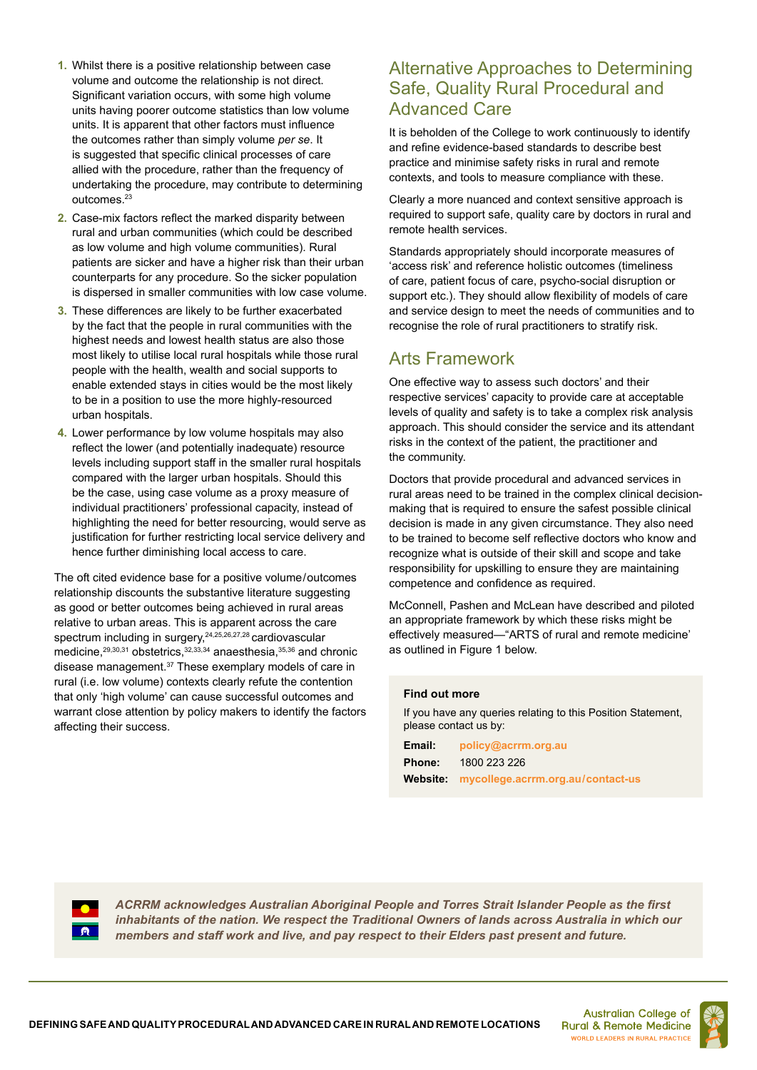- **1.** Whilst there is a positive relationship between case volume and outcome the relationship is not direct. Significant variation occurs, with some high volume units having poorer outcome statistics than low volume units. It is apparent that other factors must influence the outcomes rather than simply volume *per se*. It is suggested that specific clinical processes of care allied with the procedure, rather than the frequency of undertaking the procedure, may contribute to determining outcomes.<sup>23</sup>
- **2.** Case-mix factors reflect the marked disparity between rural and urban communities (which could be described as low volume and high volume communities). Rural patients are sicker and have a higher risk than their urban counterparts for any procedure. So the sicker population is dispersed in smaller communities with low case volume.
- **3.** These differences are likely to be further exacerbated by the fact that the people in rural communities with the highest needs and lowest health status are also those most likely to utilise local rural hospitals while those rural people with the health, wealth and social supports to enable extended stays in cities would be the most likely to be in a position to use the more highly-resourced urban hospitals.
- **4.** Lower performance by low volume hospitals may also reflect the lower (and potentially inadequate) resource levels including support staff in the smaller rural hospitals compared with the larger urban hospitals. Should this be the case, using case volume as a proxy measure of individual practitioners' professional capacity, instead of highlighting the need for better resourcing, would serve as justification for further restricting local service delivery and hence further diminishing local access to care.

The oft cited evidence base for a positive volume/outcomes relationship discounts the substantive literature suggesting as good or better outcomes being achieved in rural areas relative to urban areas. This is apparent across the care spectrum including in surgery, <sup>24,25,26,27,28</sup> cardiovascular medicine,29,30,31 obstetrics,32,33,34 anaesthesia,35,36 and chronic disease management.37 These exemplary models of care in rural (i.e. low volume) contexts clearly refute the contention that only 'high volume' can cause successful outcomes and warrant close attention by policy makers to identify the factors affecting their success.

#### Alternative Approaches to Determining Safe, Quality Rural Procedural and Advanced Care

It is beholden of the College to work continuously to identify and refine evidence-based standards to describe best practice and minimise safety risks in rural and remote contexts, and tools to measure compliance with these.

Clearly a more nuanced and context sensitive approach is required to support safe, quality care by doctors in rural and remote health services.

Standards appropriately should incorporate measures of 'access risk' and reference holistic outcomes (timeliness of care, patient focus of care, psycho-social disruption or support etc.). They should allow flexibility of models of care and service design to meet the needs of communities and to recognise the role of rural practitioners to stratify risk.

### Arts Framework

One effective way to assess such doctors' and their respective services' capacity to provide care at acceptable levels of quality and safety is to take a complex risk analysis approach. This should consider the service and its attendant risks in the context of the patient, the practitioner and the community.

Doctors that provide procedural and advanced services in rural areas need to be trained in the complex clinical decisionmaking that is required to ensure the safest possible clinical decision is made in any given circumstance. They also need to be trained to become self reflective doctors who know and recognize what is outside of their skill and scope and take responsibility for upskilling to ensure they are maintaining competence and confidence as required.

McConnell, Pashen and McLean have described and piloted an appropriate framework by which these risks might be effectively measured—"ARTS of rural and remote medicine' as outlined in Figure 1 below.

#### **Find out more**

If you have any queries relating to this Position Statement, please contact us by:

**Email: policy@acrrm.org.au Phone:** 1800 223 226 **Website: mycollege.acrrm.org.au / contact-us**



*ACRRM acknowledges Australian Aboriginal People and Torres Strait Islander People as the first inhabitants of the nation. We respect the Traditional Owners of lands across Australia in which our members and staff work and live, and pay respect to their Elders past present and future.*

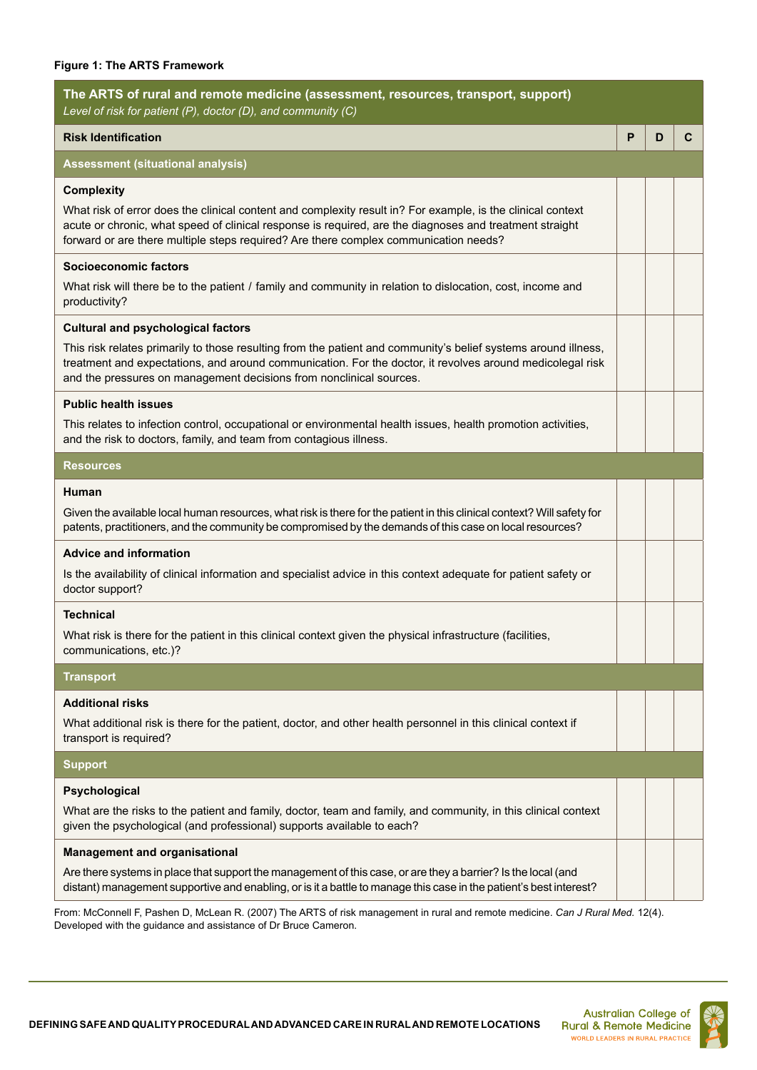#### **Figure 1: The ARTS Framework**

| The ARTS of rural and remote medicine (assessment, resources, transport, support)<br>Level of risk for patient (P), doctor (D), and community (C)                                                                                                                                                                                               |   |   |   |
|-------------------------------------------------------------------------------------------------------------------------------------------------------------------------------------------------------------------------------------------------------------------------------------------------------------------------------------------------|---|---|---|
| <b>Risk Identification</b>                                                                                                                                                                                                                                                                                                                      | P | D | C |
| <b>Assessment (situational analysis)</b>                                                                                                                                                                                                                                                                                                        |   |   |   |
| <b>Complexity</b><br>What risk of error does the clinical content and complexity result in? For example, is the clinical context<br>acute or chronic, what speed of clinical response is required, are the diagnoses and treatment straight<br>forward or are there multiple steps required? Are there complex communication needs?             |   |   |   |
| <b>Socioeconomic factors</b><br>What risk will there be to the patient / family and community in relation to dislocation, cost, income and<br>productivity?                                                                                                                                                                                     |   |   |   |
| <b>Cultural and psychological factors</b><br>This risk relates primarily to those resulting from the patient and community's belief systems around illness,<br>treatment and expectations, and around communication. For the doctor, it revolves around medicolegal risk<br>and the pressures on management decisions from nonclinical sources. |   |   |   |
| <b>Public health issues</b>                                                                                                                                                                                                                                                                                                                     |   |   |   |
| This relates to infection control, occupational or environmental health issues, health promotion activities,<br>and the risk to doctors, family, and team from contagious illness.                                                                                                                                                              |   |   |   |
| <b>Resources</b>                                                                                                                                                                                                                                                                                                                                |   |   |   |
| Human<br>Given the available local human resources, what risk is there for the patient in this clinical context? Will safety for<br>patents, practitioners, and the community be compromised by the demands of this case on local resources?                                                                                                    |   |   |   |
| <b>Advice and information</b><br>Is the availability of clinical information and specialist advice in this context adequate for patient safety or<br>doctor support?                                                                                                                                                                            |   |   |   |
| <b>Technical</b><br>What risk is there for the patient in this clinical context given the physical infrastructure (facilities,<br>communications, etc.)?                                                                                                                                                                                        |   |   |   |
| <b>Transport</b>                                                                                                                                                                                                                                                                                                                                |   |   |   |
| <b>Additional risks</b><br>What additional risk is there for the patient, doctor, and other health personnel in this clinical context if<br>transport is required?                                                                                                                                                                              |   |   |   |
| <b>Support</b>                                                                                                                                                                                                                                                                                                                                  |   |   |   |
| Psychological<br>What are the risks to the patient and family, doctor, team and family, and community, in this clinical context<br>given the psychological (and professional) supports available to each?                                                                                                                                       |   |   |   |
| <b>Management and organisational</b>                                                                                                                                                                                                                                                                                                            |   |   |   |
| Are there systems in place that support the management of this case, or are they a barrier? Is the local (and<br>distant) management supportive and enabling, or is it a battle to manage this case in the patient's best interest?                                                                                                             |   |   |   |
|                                                                                                                                                                                                                                                                                                                                                 |   |   |   |

From: McConnell F, Pashen D, McLean R. (2007) The ARTS of risk management in rural and remote medicine. *Can J Rural Med.* 12(4). Developed with the guidance and assistance of Dr Bruce Cameron.